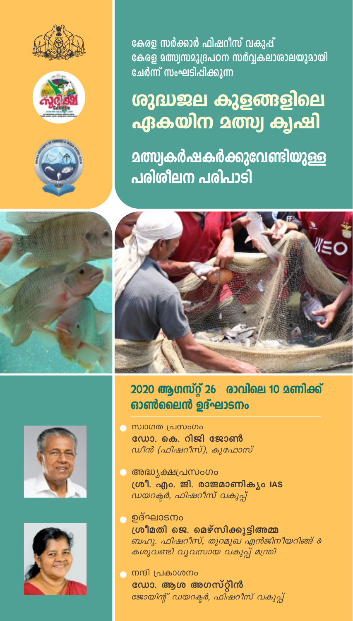

## ശുദ്ധജല കുളങ്ങളിലെ ഏകയിന മത്സ്വ ക്വഷി

**മത്സ്വകർഷകർക്കുവേണ്ടിയുള്ള** <u>പരിശീലന പരിപാടി</u>









2020 ആഗസ്റ്റ് 26 രാവിലെ 10 മണിക്ക് ഓൺലൈൻ ഉദ്ഘാടനം

- െസ്ഥാഗത പ്രസംഗം ഡോ. കെ. റിജി ജോൺ ഡീൻ (ഫിഷറീസ്), കുഫോസ്
- **© അദ്ധ്യക്ഷപ്രസംഗം** ശ്രീ. എം. ജി. രാജമാണികൃം IAS ഡയറക്ടർ, ഫിഷറീസ് വകുപ്
- ഉദ്ഘാടനം ശ്രീമതി ജെ. മെഴ്സിക്കുട്ടിഅമ്മ ബഹു. ഫിഷറീസ്, തുറമുഖ എൻജിനീയറിങ്ങ് & കശുവണ്ടി വൃവസായ വകുപ്പ് മന്ത്രി
- ്ര നന്ദി പ്രകാശനം ഡോ. ആശ അഗസ്റ്റീൻ ജോയിന്റ് ഡയറക്ടർ, ഫിഷറീസ് വകുപ്പ്



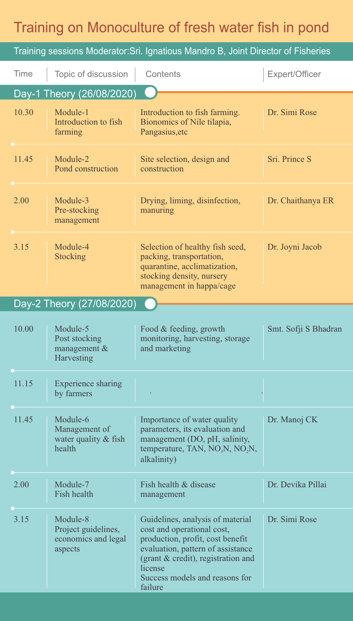## Training on Monoculture of fresh water fish in pond

| Training sessions Moderator: Sri. Ignatious Mandro B, Joint Director of Fisheries |                                                                   |                                                                                                                                                                                                                                       |                      |
|-----------------------------------------------------------------------------------|-------------------------------------------------------------------|---------------------------------------------------------------------------------------------------------------------------------------------------------------------------------------------------------------------------------------|----------------------|
| Time                                                                              | Topic of discussion                                               | Contents                                                                                                                                                                                                                              | Expert/Officer       |
| Day-1 Theory (26/08/2020)                                                         |                                                                   |                                                                                                                                                                                                                                       |                      |
| 10.30                                                                             | Module-1<br>Introduction to fish<br>farming                       | Introduction to fish farming.<br>Bionomics of Nile tilapia,<br>Pangasius, etc                                                                                                                                                         | Dr. Simi Rose        |
| 11.45                                                                             | Module-2<br>Pond construction                                     | Site selection, design and<br>construction                                                                                                                                                                                            | Sri. Prince S        |
| 2.00                                                                              | Module-3<br>Pre-stocking<br>management                            | Drying, liming, disinfection,<br>manuring                                                                                                                                                                                             | Dr. Chaithanya ER    |
| 3.15                                                                              | Module-4<br>Stocking                                              | Selection of healthy fish seed,<br>packing, transportation,<br>quarantine, acclimatization,<br>stocking density, nursery<br>management in happa/cage                                                                                  | Dr. Joyni Jacob      |
| Day-2 Theory (27/08/2020)                                                         |                                                                   |                                                                                                                                                                                                                                       |                      |
| 10.00                                                                             | Module-5<br>Post stocking<br>management &<br>Harvesting           | Food & feeding, growth<br>monitoring, harvesting, storage<br>and marketing                                                                                                                                                            | Smt. Sofji S Bhadran |
| 11.15                                                                             | <b>Experience sharing</b><br>by farmers                           |                                                                                                                                                                                                                                       |                      |
| 11.45                                                                             | Module-6<br>Management of<br>water quality & fish<br>health       | Importance of water quality<br>parameters, its evaluation and<br>management (DO, pH, salinity,<br>temperature, TAN, NO <sub>3</sub> N, NO <sub>2</sub> N,<br>alkalinity)                                                              | Dr. Manoj CK         |
| 2.00                                                                              | Module-7<br>Fish health                                           | Fish health & disease<br>management                                                                                                                                                                                                   | Dr. Devika Pillai    |
| 3.15                                                                              | Module-8<br>Project guidelines,<br>economics and legal<br>aspects | Guidelines, analysis of material<br>cost and operational cost,<br>production, profit, cost benefit<br>evaluation, pattern of assistance<br>(grant & credit), registration and<br>license<br>Success models and reasons for<br>failure | Dr. Simi Rose        |